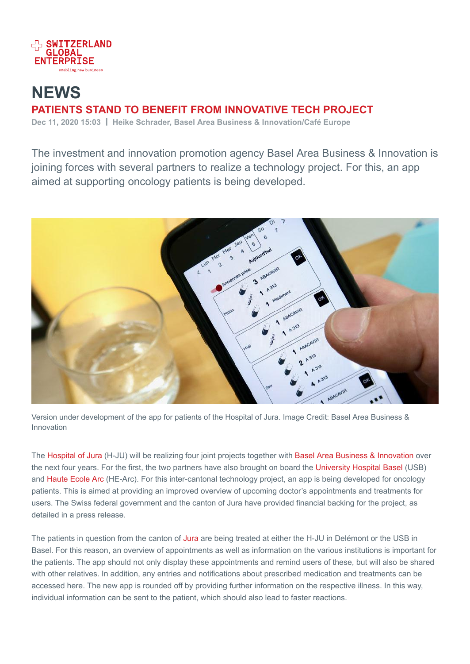

## **NEWS** PATIENTS STAND TO BENEFIT FROM INNOVATIVE TECH PROJECT Dec 11, 2020 15:03 | Heike Schrader, Basel Area Business & Innovation/Café Europe

The investment and innovation promotion agency Basel Area Business & Innovation is joining forces with several partners to realize a technology project. For this, an app aimed at supporting oncology patients is being developed.



Version under development of the app for patients of the Hospital of Jura. Image Credit: Basel Area Business & Innovation

The Hospital of Jura (H-JU) will be realizing four joint projects together with Basel Area Business & Innovation over the next four years. For the first, the two partners have also brought on board the University Hospital Basel (USB) and Haute Ecole Arc (HE-Arc). For this inter-cantonal technology project, an app is being developed for oncology patients. This is aimed at providing an improved overview of upcoming doctor's appointments and treatments for users. The Swiss federal government and the canton of Jura have provided financial backing for the project, as detailed in a press release.

The patients in question from the canton of Jura are being treated at either the H-JU in Delémont or the USB in Basel. For this reason, an overview of appointments as well as information on the various institutions is important for the patients. The app should not only display these appointments and remind users of these, but will also be shared with other relatives. In addition, any entries and notifications about prescribed medication and treatments can be accessed here. The new app is rounded off by providing further information on the respective illness. In this way, individual information can be sent to the patient, which should also lead to faster reactions.